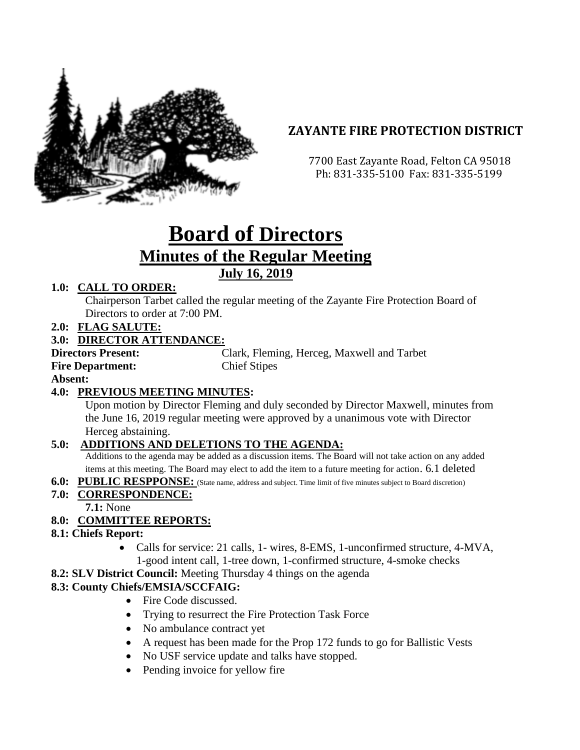

# **ZAYANTE FIRE PROTECTION DISTRICT**

 7700 East Zayante Road, Felton CA 95018 Ph: 831-335-5100 Fax: 831-335-5199

# **Board of Directors Minutes of the Regular Meeting July 16, 2019**

#### **1.0: CALL TO ORDER:**

Chairperson Tarbet called the regular meeting of the Zayante Fire Protection Board of Directors to order at 7:00 PM.

**2.0: FLAG SALUTE:**

#### **3.0: DIRECTOR ATTENDANCE:**

**Directors Present:** Clark, Fleming, Herceg, Maxwell and Tarbet **Fire Department:** Chief Stipes

**Absent:** 

#### **4.0: PREVIOUS MEETING MINUTES:**

Upon motion by Director Fleming and duly seconded by Director Maxwell, minutes from the June 16, 2019 regular meeting were approved by a unanimous vote with Director Herceg abstaining.

#### **5.0: ADDITIONS AND DELETIONS TO THE AGENDA:**

Additions to the agenda may be added as a discussion items. The Board will not take action on any added items at this meeting. The Board may elect to add the item to a future meeting for action. 6.1 deleted

**6.0: PUBLIC RESPPONSE:** (State name, address and subject. Time limit of five minutes subject to Board discretion)

#### **7.0: CORRESPONDENCE:**

**7.1:** None

# **8.0: COMMITTEE REPORTS:**

#### **8.1: Chiefs Report:**

- Calls for service: 21 calls, 1- wires, 8-EMS, 1-unconfirmed structure, 4-MVA, 1-good intent call, 1-tree down, 1-confirmed structure, 4-smoke checks
- **8.2: SLV District Council:** Meeting Thursday 4 things on the agenda

#### **8.3: County Chiefs/EMSIA/SCCFAIG:**

- Fire Code discussed.
- Trying to resurrect the Fire Protection Task Force
- No ambulance contract yet
- A request has been made for the Prop 172 funds to go for Ballistic Vests
- No USF service update and talks have stopped.
- Pending invoice for yellow fire